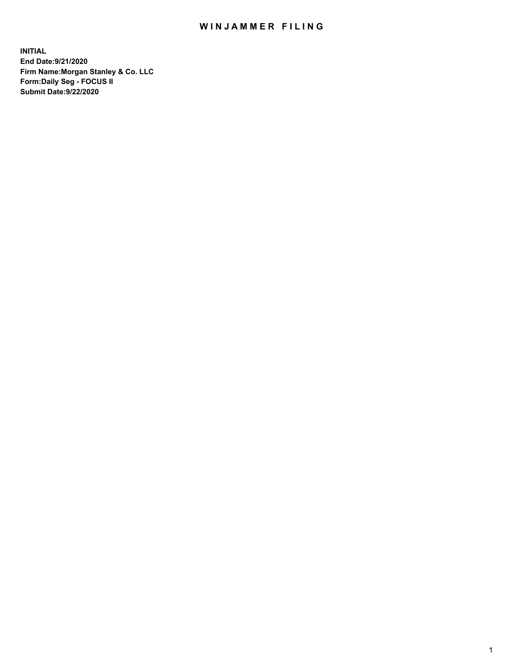## WIN JAMMER FILING

**INITIAL End Date:9/21/2020 Firm Name:Morgan Stanley & Co. LLC Form:Daily Seg - FOCUS II Submit Date:9/22/2020**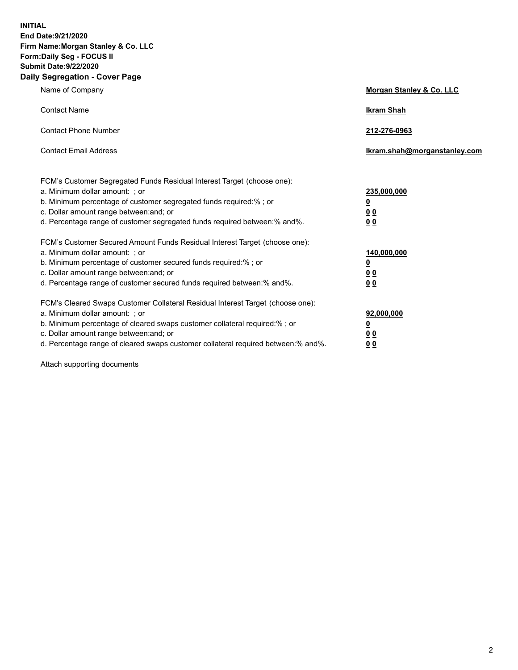**INITIAL End Date:9/21/2020 Firm Name:Morgan Stanley & Co. LLC Form:Daily Seg - FOCUS II Submit Date:9/22/2020 Daily Segregation - Cover Page**

| Name of Company                                                                                                                                                                                                                                                                                                                | Morgan Stanley & Co. LLC                        |
|--------------------------------------------------------------------------------------------------------------------------------------------------------------------------------------------------------------------------------------------------------------------------------------------------------------------------------|-------------------------------------------------|
| <b>Contact Name</b>                                                                                                                                                                                                                                                                                                            | <b>Ikram Shah</b>                               |
| <b>Contact Phone Number</b>                                                                                                                                                                                                                                                                                                    | 212-276-0963                                    |
| <b>Contact Email Address</b>                                                                                                                                                                                                                                                                                                   | Ikram.shah@morganstanley.com                    |
| FCM's Customer Segregated Funds Residual Interest Target (choose one):<br>a. Minimum dollar amount: ; or<br>b. Minimum percentage of customer segregated funds required:% ; or<br>c. Dollar amount range between: and; or<br>d. Percentage range of customer segregated funds required between:% and%.                         | 235,000,000<br><u>0</u><br><u>00</u><br>00      |
| FCM's Customer Secured Amount Funds Residual Interest Target (choose one):<br>a. Minimum dollar amount: ; or<br>b. Minimum percentage of customer secured funds required:% ; or<br>c. Dollar amount range between: and; or<br>d. Percentage range of customer secured funds required between:% and%.                           | 140,000,000<br><u>0</u><br>0 <sub>0</sub><br>00 |
| FCM's Cleared Swaps Customer Collateral Residual Interest Target (choose one):<br>a. Minimum dollar amount: ; or<br>b. Minimum percentage of cleared swaps customer collateral required:% ; or<br>c. Dollar amount range between: and; or<br>d. Percentage range of cleared swaps customer collateral required between:% and%. | 92,000,000<br><u>0</u><br>0 Q<br>0 <sub>0</sub> |

Attach supporting documents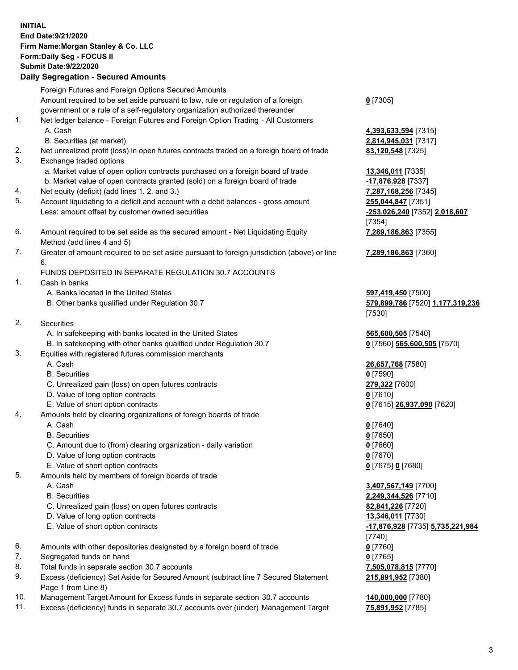## **INITIAL End Date:9/21/2020 Firm Name:Morgan Stanley & Co. LLC Form:Daily Seg - FOCUS II Submit Date:9/22/2020 Daily Segregation - Secured Amounts** Foreign Futures and Foreign Options Secured Amounts Amount required to be set aside pursuant to law, rule or regulation of a foreign government or a rule of a self-regulatory organization authorized thereunder 1. Net ledger balance - Foreign Futures and Foreign Option Trading - All Customers A. Cash **4,393,633,594** [7315] B. Securities (at market) **2,814,945,031** [7317] 2. Net unrealized profit (loss) in open futures contracts traded on a foreign board of trade **83,120,548** [7325] 3. Exchange traded options a. Market value of open option contracts purchased on a foreign board of trade **13,346,011** [7335] b. Market value of open contracts granted (sold) on a foreign board of trade **-17,876,928** [7337] 4. Net equity (deficit) (add lines 1. 2. and 3.) **7,287,168,256** [7345] 5. Account liquidating to a deficit and account with a debit balances - gross amount **255,044,847** [7351] Less: amount offset by customer owned securities **-253,026,240** [7352] **2,018,607** 6. Amount required to be set aside as the secured amount - Net Liquidating Equity Method (add lines 4 and 5) 7. Greater of amount required to be set aside pursuant to foreign jurisdiction (above) or line 6. FUNDS DEPOSITED IN SEPARATE REGULATION 30.7 ACCOUNTS 1. Cash in banks A. Banks located in the United States **597,419,450** [7500] B. Other banks qualified under Regulation 30.7 **579,899,786** [7520] **1,177,319,236** 2. Securities A. In safekeeping with banks located in the United States **565,600,505** [7540] B. In safekeeping with other banks qualified under Regulation 30.7 **0** [7560] **565,600,505** [7570] 3. Equities with registered futures commission merchants A. Cash **26,657,768** [7580] B. Securities **0** [7590] C. Unrealized gain (loss) on open futures contracts **279,322** [7600] D. Value of long option contracts **0** [7610] E. Value of short option contracts **0** [7615] **26,937,090** [7620] 4. Amounts held by clearing organizations of foreign boards of trade A. Cash **0** [7640] B. Securities **0** [7650] C. Amount due to (from) clearing organization - daily variation **0** [7660] D. Value of long option contracts **0** [7670] E. Value of short option contracts **0** [7675] **0** [7680] 5. Amounts held by members of foreign boards of trade A. Cash **3,407,567,149** [7700] B. Securities **2,249,344,526** [7710] C. Unrealized gain (loss) on open futures contracts **82,841,226** [7720] D. Value of long option contracts **13,346,011** [7730] E. Value of short option contracts **-17,876,928** [7735] **5,735,221,984** 6. Amounts with other depositories designated by a foreign board of trade **0** [7760] 7. Segregated funds on hand **0** [7765] 8. Total funds in separate section 30.7 accounts **7,505,078,815** [7770]

- 9. Excess (deficiency) Set Aside for Secured Amount (subtract line 7 Secured Statement Page 1 from Line 8)
- 10. Management Target Amount for Excess funds in separate section 30.7 accounts **140,000,000** [7780]
- 11. Excess (deficiency) funds in separate 30.7 accounts over (under) Management Target **75,891,952** [7785]

**0** [7305]

[7354] **7,289,186,863** [7355]

**7,289,186,863** [7360]

[7530]

[7740] **215,891,952** [7380]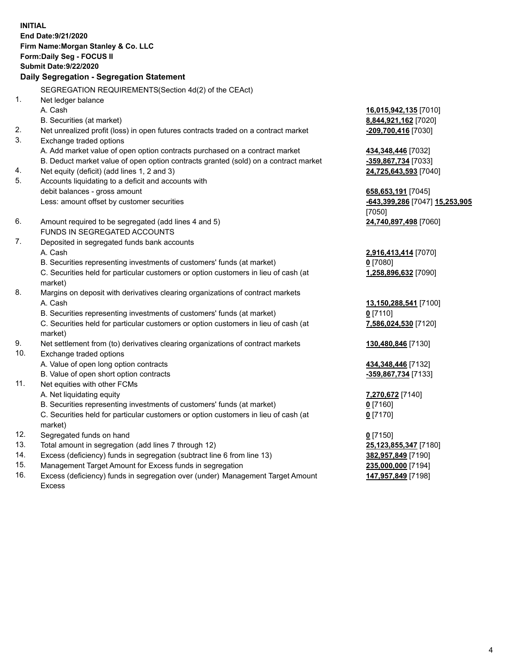**INITIAL End Date:9/21/2020 Firm Name:Morgan Stanley & Co. LLC Form:Daily Seg - FOCUS II Submit Date:9/22/2020 Daily Segregation - Segregation Statement** SEGREGATION REQUIREMENTS(Section 4d(2) of the CEAct) 1. Net ledger balance A. Cash **16,015,942,135** [7010] B. Securities (at market) **8,844,921,162** [7020] 2. Net unrealized profit (loss) in open futures contracts traded on a contract market **-209,700,416** [7030] 3. Exchange traded options A. Add market value of open option contracts purchased on a contract market **434,348,446** [7032] B. Deduct market value of open option contracts granted (sold) on a contract market **-359,867,734** [7033] 4. Net equity (deficit) (add lines 1, 2 and 3) **24,725,643,593** [7040] 5. Accounts liquidating to a deficit and accounts with debit balances - gross amount **658,653,191** [7045] Less: amount offset by customer securities **-643,399,286** [7047] **15,253,905** [7050] 6. Amount required to be segregated (add lines 4 and 5) **24,740,897,498** [7060] FUNDS IN SEGREGATED ACCOUNTS 7. Deposited in segregated funds bank accounts A. Cash **2,916,413,414** [7070] B. Securities representing investments of customers' funds (at market) **0** [7080] C. Securities held for particular customers or option customers in lieu of cash (at market) **1,258,896,632** [7090] 8. Margins on deposit with derivatives clearing organizations of contract markets A. Cash **13,150,288,541** [7100] B. Securities representing investments of customers' funds (at market) **0** [7110] C. Securities held for particular customers or option customers in lieu of cash (at market) **7,586,024,530** [7120] 9. Net settlement from (to) derivatives clearing organizations of contract markets **130,480,846** [7130] 10. Exchange traded options A. Value of open long option contracts **434,348,446** [7132] B. Value of open short option contracts **-359,867,734** [7133] 11. Net equities with other FCMs A. Net liquidating equity **7,270,672** [7140] B. Securities representing investments of customers' funds (at market) **0** [7160] C. Securities held for particular customers or option customers in lieu of cash (at market) **0** [7170] 12. Segregated funds on hand **0** [7150] 13. Total amount in segregation (add lines 7 through 12) **25,123,855,347** [7180] 14. Excess (deficiency) funds in segregation (subtract line 6 from line 13) **382,957,849** [7190]

- 15. Management Target Amount for Excess funds in segregation **235,000,000** [7194]
- 16. Excess (deficiency) funds in segregation over (under) Management Target Amount Excess

**147,957,849** [7198]